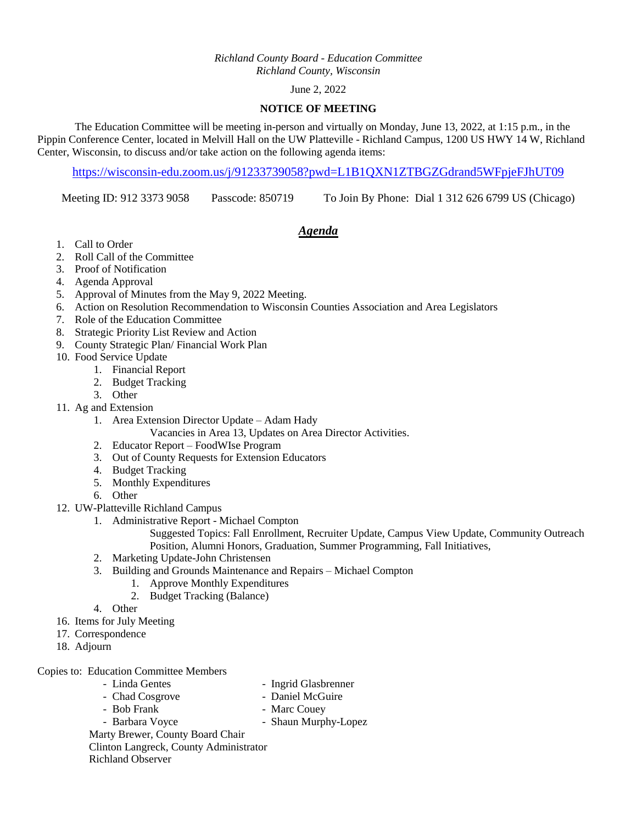## *Richland County Board - Education Committee Richland County, Wisconsin*

June 2, 2022

## **NOTICE OF MEETING**

The Education Committee will be meeting in-person and virtually on Monday, June 13, 2022, at 1:15 p.m., in the Pippin Conference Center, located in Melvill Hall on the UW Platteville - Richland Campus, 1200 US HWY 14 W, Richland Center, Wisconsin, to discuss and/or take action on the following agenda items:

<https://wisconsin-edu.zoom.us/j/91233739058?pwd=L1B1QXN1ZTBGZGdrand5WFpjeFJhUT09>

Meeting ID: 912 3373 9058 Passcode: 850719 To Join By Phone: Dial 1 312 626 6799 US (Chicago)

## *Agenda*

- 1. Call to Order
- 2. Roll Call of the Committee
- 3. Proof of Notification
- 4. Agenda Approval
- 5. Approval of Minutes from the May 9, 2022 Meeting.
- 6. Action on Resolution Recommendation to Wisconsin Counties Association and Area Legislators
- 7. Role of the Education Committee
- 8. Strategic Priority List Review and Action
- 9. County Strategic Plan/ Financial Work Plan
- 10. Food Service Update
	- 1. Financial Report
	- 2. Budget Tracking
	- 3. Other
- 11. Ag and Extension
	- 1. Area Extension Director Update Adam Hady
		- Vacancies in Area 13, Updates on Area Director Activities.
	- 2. Educator Report FoodWIse Program
	- 3. Out of County Requests for Extension Educators
	- 4. Budget Tracking
	- 5. Monthly Expenditures
	- 6. Other
- 12. UW-Platteville Richland Campus
	- 1. Administrative Report Michael Compton

Suggested Topics: Fall Enrollment, Recruiter Update, Campus View Update, Community Outreach Position, Alumni Honors, Graduation, Summer Programming, Fall Initiatives,

- 2. Marketing Update-John Christensen
- 3. Building and Grounds Maintenance and Repairs Michael Compton
	- 1. Approve Monthly Expenditures
	- 2. Budget Tracking (Balance)
- 4. Other
- 16. Items for July Meeting
- 17. Correspondence
- 18. Adjourn

Copies to: Education Committee Members

- Linda Gentes Ingrid Glasbrenner
- 
- Chad Cosgrove Daniel McGuire
- Bob Frank Marc Couey<br>- Barbara Voyce Shaun Murph
	-
- Shaun Murphy-Lopez

Marty Brewer, County Board Chair Clinton Langreck, County Administrator Richland Observer